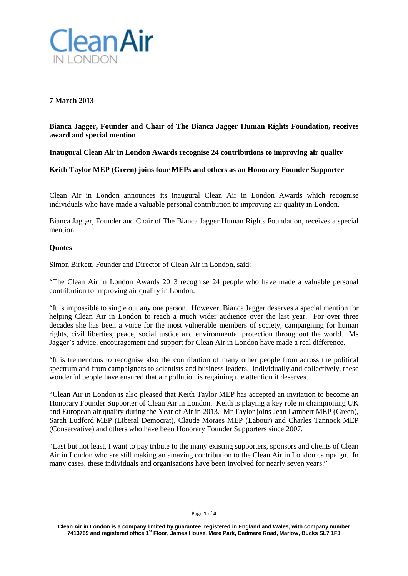

# **7 March 2013**

# **Bianca Jagger, Founder and Chair of The Bianca Jagger Human Rights Foundation, receives award and special mention**

**Inaugural Clean Air in London Awards recognise 24 contributions to improving air quality**

**Keith Taylor MEP (Green) joins four MEPs and others as an Honorary Founder Supporter**

Clean Air in London announces its inaugural Clean Air in London Awards which recognise individuals who have made a valuable personal contribution to improving air quality in London.

Bianca Jagger, Founder and Chair of The Bianca Jagger Human Rights Foundation, receives a special mention.

### **Quotes**

Simon Birkett, Founder and Director of Clean Air in London, said:

"The Clean Air in London Awards 2013 recognise 24 people who have made a valuable personal contribution to improving air quality in London.

"It is impossible to single out any one person. However, Bianca Jagger deserves a special mention for helping Clean Air in London to reach a much wider audience over the last year. For over three decades she has been a voice for the most vulnerable members of society, campaigning for human rights, civil liberties, peace, social justice and environmental protection throughout the world. Ms Jagger's advice, encouragement and support for Clean Air in London have made a real difference.

"It is tremendous to recognise also the contribution of many other people from across the political spectrum and from campaigners to scientists and business leaders. Individually and collectively, these wonderful people have ensured that air pollution is regaining the attention it deserves.

"Clean Air in London is also pleased that Keith Taylor MEP has accepted an invitation to become an Honorary Founder Supporter of Clean Air in London. Keith is playing a key role in championing UK and European air quality during the Year of Air in 2013. Mr Taylor joins Jean Lambert MEP (Green), Sarah Ludford MEP (Liberal Democrat), Claude Moraes MEP (Labour) and Charles Tannock MEP (Conservative) and others who have been Honorary Founder Supporters since 2007.

"Last but not least, I want to pay tribute to the many existing supporters, sponsors and clients of Clean Air in London who are still making an amazing contribution to the Clean Air in London campaign. In many cases, these individuals and organisations have been involved for nearly seven years."

#### Page **1** of **4**

**Clean Air in London is a company limited by guarantee, registered in England and Wales, with company number 7413769 and registered office 1st Floor, James House, Mere Park, Dedmere Road, Marlow, Bucks SL7 1FJ**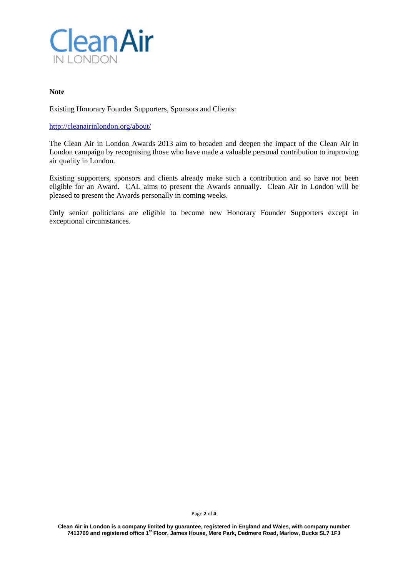

#### **Note**

Existing Honorary Founder Supporters, Sponsors and Clients:

#### <http://cleanairinlondon.org/about/>

The Clean Air in London Awards 2013 aim to broaden and deepen the impact of the Clean Air in London campaign by recognising those who have made a valuable personal contribution to improving air quality in London.

Existing supporters, sponsors and clients already make such a contribution and so have not been eligible for an Award. CAL aims to present the Awards annually. Clean Air in London will be pleased to present the Awards personally in coming weeks.

Only senior politicians are eligible to become new Honorary Founder Supporters except in exceptional circumstances.

Page **2** of **4**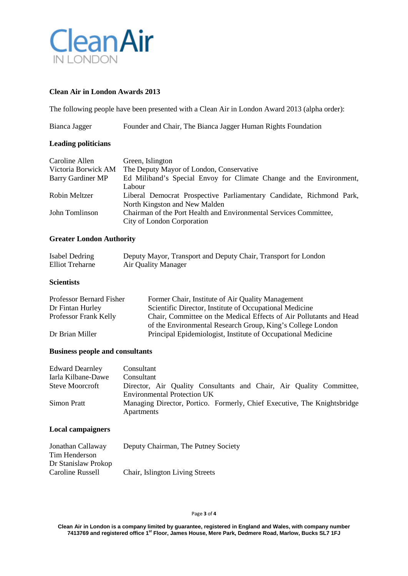

## **Clean Air in London Awards 2013**

The following people have been presented with a Clean Air in London Award 2013 (alpha order):

| Bianca Jagger | Founder and Chair, The Bianca Jagger Human Rights Foundation |  |  |
|---------------|--------------------------------------------------------------|--|--|
|               |                                                              |  |  |
|               |                                                              |  |  |
|               |                                                              |  |  |

### **Leading politicians**

| Caroline Allen      | Green, Islington                                                     |
|---------------------|----------------------------------------------------------------------|
| Victoria Borwick AM | The Deputy Mayor of London, Conservative                             |
| Barry Gardiner MP   | Ed Miliband's Special Envoy for Climate Change and the Environment,  |
|                     | Labour                                                               |
| Robin Meltzer       | Liberal Democrat Prospective Parliamentary Candidate, Richmond Park, |
|                     | North Kingston and New Malden                                        |
| John Tomlinson      | Chairman of the Port Health and Environmental Services Committee,    |
|                     | City of London Corporation                                           |

## **Greater London Authority**

| Isabel Dedring  | Deputy Mayor, Transport and Deputy Chair, Transport for London |
|-----------------|----------------------------------------------------------------|
| Elliot Treharne | Air Quality Manager                                            |

## **Scientists**

| Professor Bernard Fisher | Former Chair, Institute of Air Quality Management                  |
|--------------------------|--------------------------------------------------------------------|
| Dr Fintan Hurley         | Scientific Director, Institute of Occupational Medicine            |
| Professor Frank Kelly    | Chair, Committee on the Medical Effects of Air Pollutants and Head |
|                          | of the Environmental Research Group, King's College London         |
| Dr Brian Miller          | Principal Epidemiologist, Institute of Occupational Medicine       |

### **Business people and consultants**

| <b>Edward Dearnley</b> | Consultant                                                               |
|------------------------|--------------------------------------------------------------------------|
| Iarla Kilbane-Dawe     | Consultant                                                               |
| Steve Moorcroft        | Director, Air Quality Consultants and Chair, Air Quality Committee,      |
|                        | <b>Environmental Protection UK</b>                                       |
| Simon Pratt            | Managing Director, Portico. Formerly, Chief Executive, The Knightsbridge |
|                        | Apartments                                                               |

## **Local campaigners**

| Jonathan Callaway   | Deputy Chairman, The Putney Society |
|---------------------|-------------------------------------|
| Tim Henderson       |                                     |
| Dr Stanislaw Prokop |                                     |
| Caroline Russell    | Chair, Islington Living Streets     |

#### Page **3** of **4**

Clean Air in London is a company limited by guarantee, registered in England and Wales, with company number<br>7413769 and registered office 1<sup>st</sup> Floor, James House, Mere Park, Dedmere Road, Marlow, Bucks SL7 1FJ